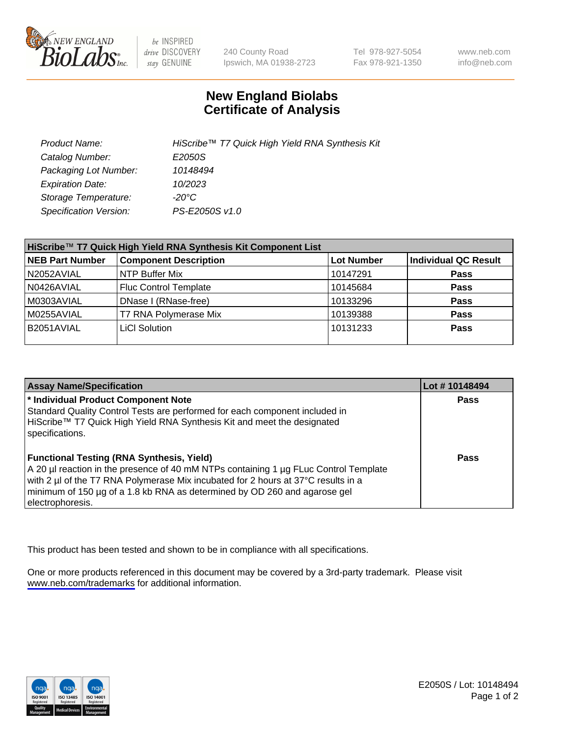

be INSPIRED drive DISCOVERY stay GENUINE

240 County Road Ipswich, MA 01938-2723 Tel 978-927-5054 Fax 978-921-1350

www.neb.com info@neb.com

## **New England Biolabs Certificate of Analysis**

| Product Name:                 | HiScribe™ T7 Quick High Yield RNA Synthesis Kit |
|-------------------------------|-------------------------------------------------|
| Catalog Number:               | E2050S                                          |
| Packaging Lot Number:         | 10148494                                        |
| <b>Expiration Date:</b>       | 10/2023                                         |
| Storage Temperature:          | -20°C                                           |
| <b>Specification Version:</b> | PS-E2050S v1.0                                  |

| HiScribe™ T7 Quick High Yield RNA Synthesis Kit Component List |                              |                   |                      |  |
|----------------------------------------------------------------|------------------------------|-------------------|----------------------|--|
| <b>NEB Part Number</b>                                         | <b>Component Description</b> | <b>Lot Number</b> | Individual QC Result |  |
| N2052AVIAL                                                     | NTP Buffer Mix               | 10147291          | <b>Pass</b>          |  |
| N0426AVIAL                                                     | <b>Fluc Control Template</b> | 10145684          | <b>Pass</b>          |  |
| M0303AVIAL                                                     | DNase I (RNase-free)         | 10133296          | <b>Pass</b>          |  |
| M0255AVIAL                                                     | T7 RNA Polymerase Mix        | 10139388          | Pass                 |  |
| B2051AVIAL                                                     | LiCI Solution                | 10131233          | <b>Pass</b>          |  |
|                                                                |                              |                   |                      |  |

| <b>Assay Name/Specification</b>                                                                                                                                                                                                                                                                                                | Lot #10148494 |
|--------------------------------------------------------------------------------------------------------------------------------------------------------------------------------------------------------------------------------------------------------------------------------------------------------------------------------|---------------|
| * Individual Product Component Note<br>Standard Quality Control Tests are performed for each component included in<br>HiScribe™ T7 Quick High Yield RNA Synthesis Kit and meet the designated<br>specifications.                                                                                                               | <b>Pass</b>   |
| <b>Functional Testing (RNA Synthesis, Yield)</b><br>A 20 µl reaction in the presence of 40 mM NTPs containing 1 µg FLuc Control Template<br>with 2 µl of the T7 RNA Polymerase Mix incubated for 2 hours at 37°C results in a<br>minimum of 150 µg of a 1.8 kb RNA as determined by OD 260 and agarose gel<br>electrophoresis. | Pass          |

This product has been tested and shown to be in compliance with all specifications.

One or more products referenced in this document may be covered by a 3rd-party trademark. Please visit <www.neb.com/trademarks>for additional information.